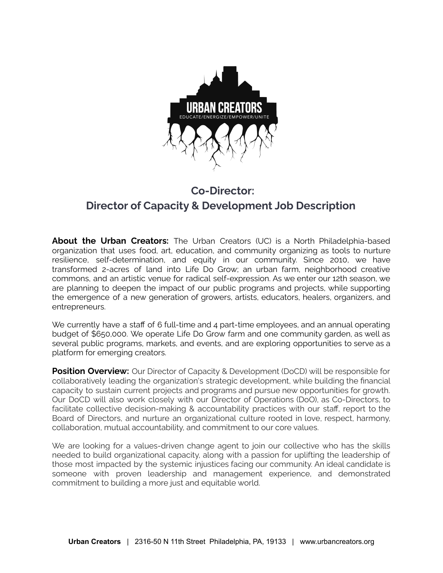

# **Co-Director: Director of Capacity & Development Job Description**

**About the Urban Creators:** The Urban Creators (UC) is a North Philadelphia-based organization that uses food, art, education, and community organizing as tools to nurture resilience, self-determination, and equity in our community. Since 2010, we have transformed 2-acres of land into Life Do Grow; an urban farm, neighborhood creative commons, and an artistic venue for radical self-expression. As we enter our 12th season, we are planning to deepen the impact of our public programs and projects, while supporting the emergence of a new generation of growers, artists, educators, healers, organizers, and entrepreneurs.

We currently have a staff of 6 full-time and 4 part-time employees, and an annual operating budget of \$650,000. We operate Life Do Grow farm and one community garden, as well as several public programs, markets, and events, and are exploring opportunities to serve as a platform for emerging creators.

**Position Overview:** Our Director of Capacity & Development (DoCD) will be responsible for collaboratively leading the organization's strategic development, while building the financial capacity to sustain current projects and programs and pursue new opportunities for growth. Our DoCD will also work closely with our Director of Operations (DoO), as Co-Directors, to facilitate collective decision-making & accountability practices with our staff, report to the Board of Directors, and nurture an organizational culture rooted in love, respect, harmony, collaboration, mutual accountability, and commitment to our core values.

We are looking for a values-driven change agent to join our collective who has the skills needed to build organizational capacity, along with a passion for uplifting the leadership of those most impacted by the systemic injustices facing our community. An ideal candidate is someone with proven leadership and management experience, and demonstrated commitment to building a more just and equitable world.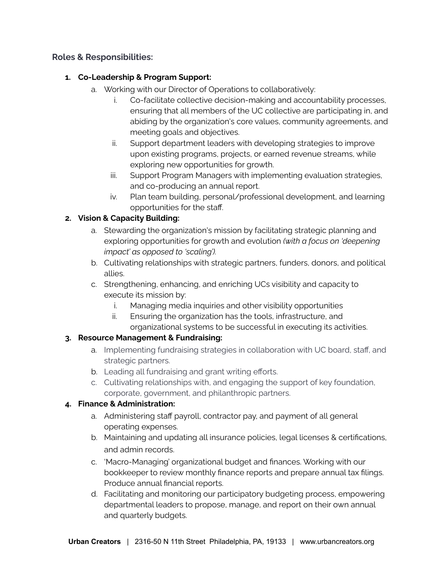#### **Roles & Responsibilities:**

#### **1. Co-Leadership & Program Support:**

- a. Working with our Director of Operations to collaboratively:
	- i. Co-facilitate collective decision-making and accountability processes, ensuring that all members of the UC collective are participating in, and abiding by the organization's core values, community agreements, and meeting goals and objectives.
	- ii. Support department leaders with developing strategies to improve upon existing programs, projects, or earned revenue streams, while exploring new opportunities for growth.
	- iii. Support Program Managers with implementing evaluation strategies, and co-producing an annual report.
	- iv. Plan team building, personal/professional development, and learning opportunities for the staff.

### **2. Vision & Capacity Building:**

- a. Stewarding the organization's mission by facilitating strategic planning and exploring opportunities for growth and evolution *(with a focus on 'deepening impact' as opposed to 'scaling').*
- b. Cultivating relationships with strategic partners, funders, donors, and political allies.
- c. Strengthening, enhancing, and enriching UCs visibility and capacity to execute its mission by:
	- i. Managing media inquiries and other visibility opportunities
	- ii. Ensuring the organization has the tools, infrastructure, and organizational systems to be successful in executing its activities.

#### **3. Resource Management & Fundraising:**

- a. Implementing fundraising strategies in collaboration with UC board, staff, and strategic partners.
- b. Leading all fundraising and grant writing efforts.
- c. Cultivating relationships with, and engaging the support of key foundation, corporate, government, and philanthropic partners.

#### **4. Finance & Administration:**

- a. Administering staff payroll, contractor pay, and payment of all general operating expenses.
- b. Maintaining and updating all insurance policies, legal licenses & certifications, and admin records.
- c. 'Macro-Managing' organizational budget and finances. Working with our bookkeeper to review monthly finance reports and prepare annual tax filings. Produce annual financial reports.
- d. Facilitating and monitoring our participatory budgeting process, empowering departmental leaders to propose, manage, and report on their own annual and quarterly budgets.